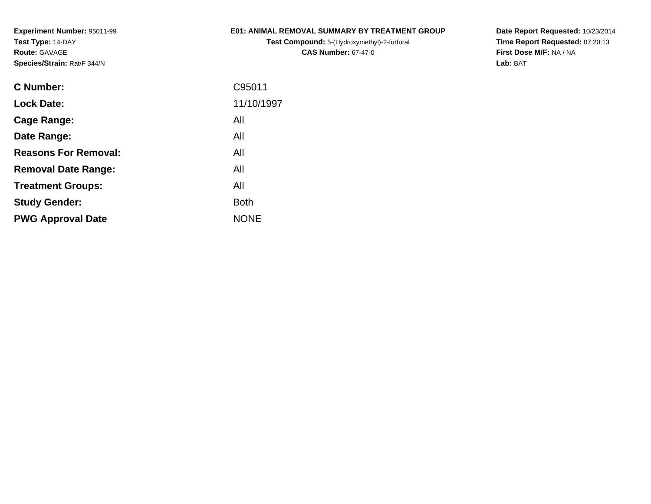### **E01: ANIMAL REMOVAL SUMMARY BY TREATMENT GROUP**

**Test Compound:** 5-(Hydroxymethyl)-2-furfural **CAS Number:** 67-47-0

**Date Report Requested:** 10/23/2014 **Time Report Requested:** 07:20:13**First Dose M/F:** NA / NA**Lab:** BAT

| C Number:                   | C95011      |
|-----------------------------|-------------|
| <b>Lock Date:</b>           | 11/10/1997  |
| Cage Range:                 | All         |
| Date Range:                 | All         |
| <b>Reasons For Removal:</b> | All         |
| <b>Removal Date Range:</b>  | All         |
| <b>Treatment Groups:</b>    | All         |
| <b>Study Gender:</b>        | <b>Both</b> |
| <b>PWG Approval Date</b>    | <b>NONE</b> |
|                             |             |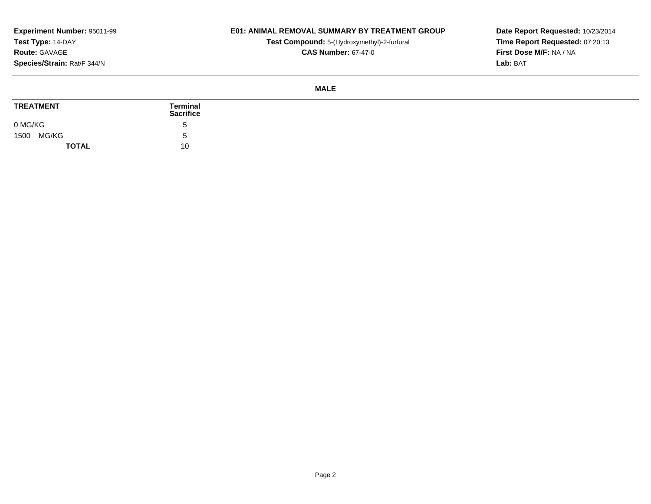### **E01: ANIMAL REMOVAL SUMMARY BY TREATMENT GROUP**

**Test Compound:** 5-(Hydroxymethyl)-2-furfural **CAS Number:** 67-47-0

**Date Report Requested:** 10/23/2014 **Time Report Requested:** 07:20:13**First Dose M/F:** NA / NA**Lab:** BAT

#### **MALE**

| <b>TREATMENT</b> | Terminal<br><b>Sacrifice</b> |
|------------------|------------------------------|
| 0 MG/KG          |                              |
| MG/KG<br>1500    |                              |
| <b>TOTAL</b>     | 10                           |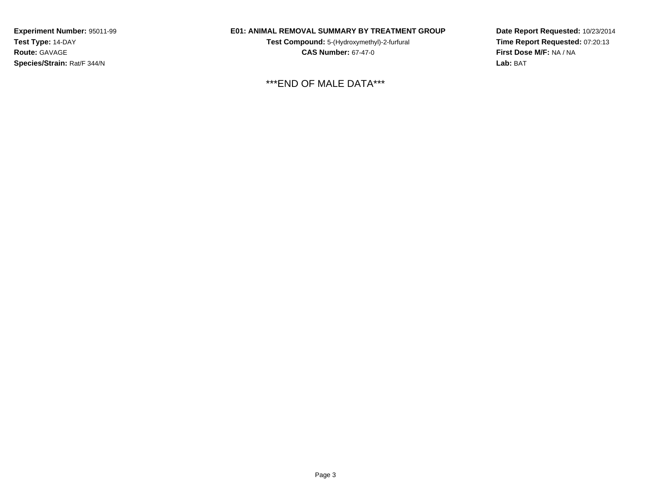### **E01: ANIMAL REMOVAL SUMMARY BY TREATMENT GROUP**

**Test Compound:** 5-(Hydroxymethyl)-2-furfural **CAS Number:** 67-47-0

\*\*\*END OF MALE DATA\*\*\*

**Date Report Requested:** 10/23/2014**Time Report Requested:** 07:20:13**First Dose M/F:** NA / NA**Lab:** BAT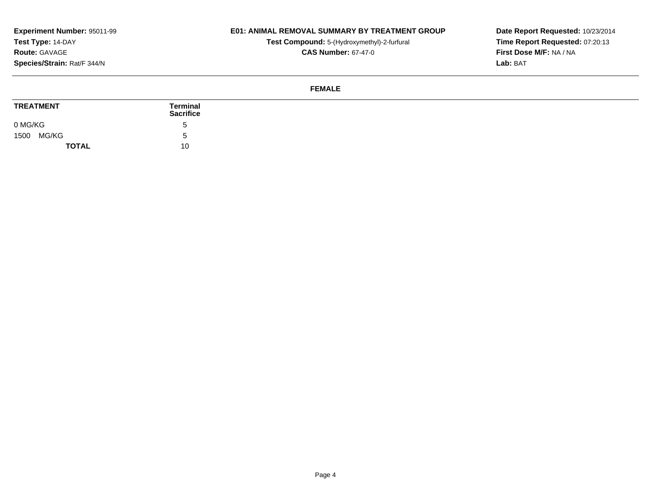### **E01: ANIMAL REMOVAL SUMMARY BY TREATMENT GROUP**

**Test Compound:** 5-(Hydroxymethyl)-2-furfural

**Date Report Requested:** 10/23/2014 **Time Report Requested:** 07:20:13**First Dose M/F:** NA / NA**Lab:** BAT

## **CAS Number:** 67-47-0

#### **FEMALE**

| <b>TREATMENT</b> | <b>Terminal</b><br><b>Sacrifice</b> |
|------------------|-------------------------------------|
| 0 MG/KG          |                                     |
| MG/KG<br>1500    |                                     |
| <b>TOTAL</b>     | 10                                  |